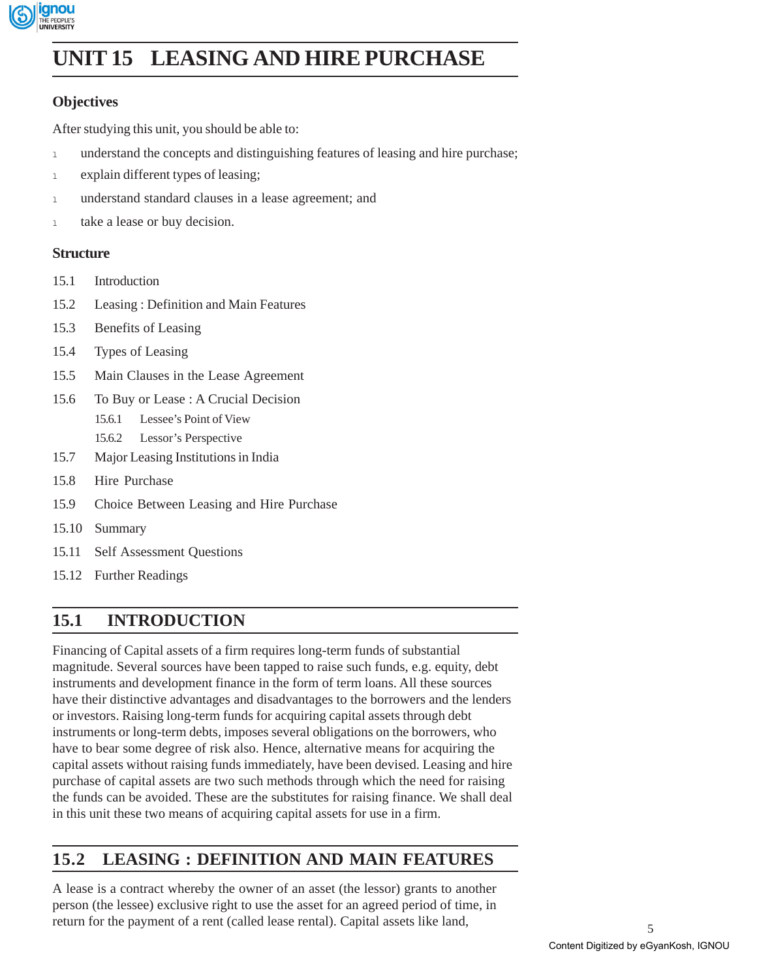

# **Leasing and Hire UNIT 15 LEASING AND HIRE PURCHASE Purchase**

### **Objectives**

After studying this unit, you should be able to:

- <sup>l</sup> understand the concepts and distinguishing features of leasing and hire purchase;
- 1 explain different types of leasing;
- <sup>l</sup> understand standard clauses in a lease agreement; and
- 1 take a lease or buy decision.

#### **Structure**

- 15.1 Introduction
- 15.2 Leasing : Definition and Main Features
- 15.3 Benefits of Leasing
- 15.4 Types of Leasing
- 15.5 Main Clauses in the Lease Agreement
- 15.6 To Buy or Lease : A Crucial Decision
	- 15.6.1 Lessee's Point of View
	- 15.6.2 Lessor's Perspective
- 15.7 Major Leasing Institutions in India
- 15.8 Hire Purchase
- 15.9 Choice Between Leasing and Hire Purchase
- 15.10 Summary
- 15.11 Self Assessment Questions
- 15.12 Further Readings

### **15.1 INTRODUCTION**

Financing of Capital assets of a firm requires long-term funds of substantial magnitude. Several sources have been tapped to raise such funds, e.g. equity, debt instruments and development finance in the form of term loans. All these sources have their distinctive advantages and disadvantages to the borrowers and the lenders or investors. Raising long-term funds for acquiring capital assets through debt instruments or long-term debts, imposes several obligations on the borrowers, who have to bear some degree of risk also. Hence, alternative means for acquiring the capital assets without raising funds immediately, have been devised. Leasing and hire purchase of capital assets are two such methods through which the need for raising the funds can be avoided. These are the substitutes for raising finance. We shall deal in this unit these two means of acquiring capital assets for use in a firm.

## **15.2 LEASING : DEFINITION AND MAIN FEATURES**

A lease is a contract whereby the owner of an asset (the lessor) grants to another person (the lessee) exclusive right to use the asset for an agreed period of time, in return for the payment of a rent (called lease rental). Capital assets like land,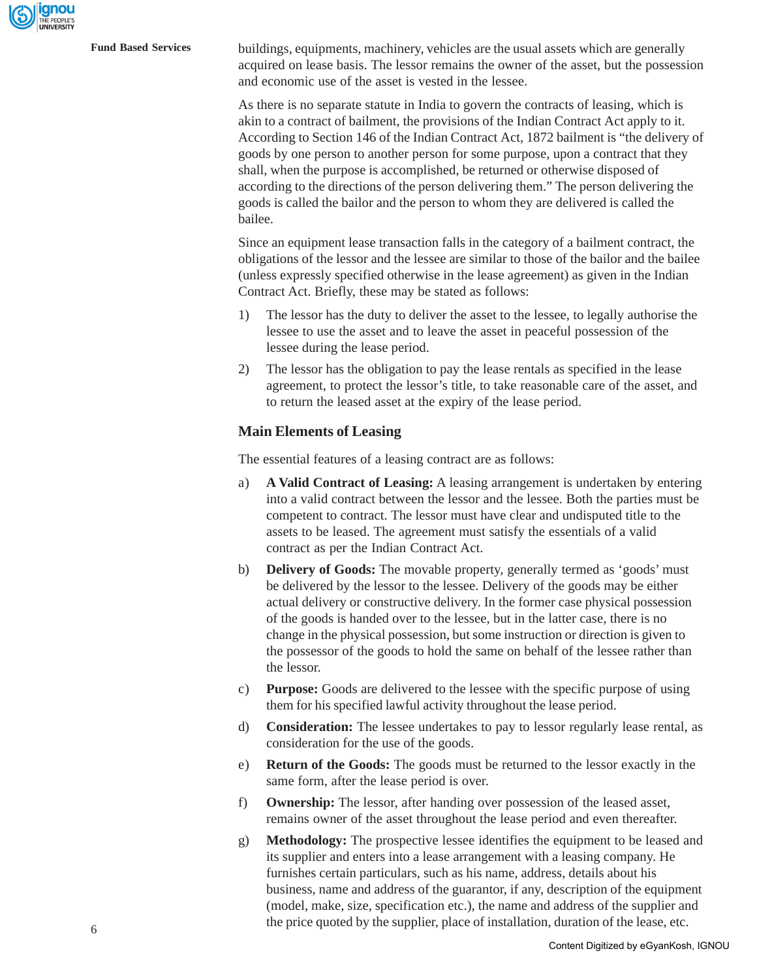**Fund Based Services** buildings, equipments, machinery, vehicles are the usual assets which are generally acquired on lease basis. The lessor remains the owner of the asset, but the possession and economic use of the asset is vested in the lessee.

> As there is no separate statute in India to govern the contracts of leasing, which is akin to a contract of bailment, the provisions of the Indian Contract Act apply to it. According to Section 146 of the Indian Contract Act, 1872 bailment is "the delivery of goods by one person to another person for some purpose, upon a contract that they shall, when the purpose is accomplished, be returned or otherwise disposed of according to the directions of the person delivering them." The person delivering the goods is called the bailor and the person to whom they are delivered is called the bailee.

> Since an equipment lease transaction falls in the category of a bailment contract, the obligations of the lessor and the lessee are similar to those of the bailor and the bailee (unless expressly specified otherwise in the lease agreement) as given in the Indian Contract Act. Briefly, these may be stated as follows:

- 1) The lessor has the duty to deliver the asset to the lessee, to legally authorise the lessee to use the asset and to leave the asset in peaceful possession of the lessee during the lease period.
- 2) The lessor has the obligation to pay the lease rentals as specified in the lease agreement, to protect the lessor's title, to take reasonable care of the asset, and to return the leased asset at the expiry of the lease period.

#### **Main Elements of Leasing**

The essential features of a leasing contract are as follows:

- a) **A Valid Contract of Leasing:** A leasing arrangement is undertaken by entering into a valid contract between the lessor and the lessee. Both the parties must be competent to contract. The lessor must have clear and undisputed title to the assets to be leased. The agreement must satisfy the essentials of a valid contract as per the Indian Contract Act.
- b) **Delivery of Goods:** The movable property, generally termed as 'goods' must be delivered by the lessor to the lessee. Delivery of the goods may be either actual delivery or constructive delivery. In the former case physical possession of the goods is handed over to the lessee, but in the latter case, there is no change in the physical possession, but some instruction or direction is given to the possessor of the goods to hold the same on behalf of the lessee rather than the lessor.
- c) **Purpose:** Goods are delivered to the lessee with the specific purpose of using them for his specified lawful activity throughout the lease period.
- d) **Consideration:** The lessee undertakes to pay to lessor regularly lease rental, as consideration for the use of the goods.
- e) **Return of the Goods:** The goods must be returned to the lessor exactly in the same form, after the lease period is over.
- f) **Ownership:** The lessor, after handing over possession of the leased asset, remains owner of the asset throughout the lease period and even thereafter.
- g) **Methodology:** The prospective lessee identifies the equipment to be leased and its supplier and enters into a lease arrangement with a leasing company. He furnishes certain particulars, such as his name, address, details about his business, name and address of the guarantor, if any, description of the equipment (model, make, size, specification etc.), the name and address of the supplier and the price quoted by the supplier, place of installation, duration of the lease, etc.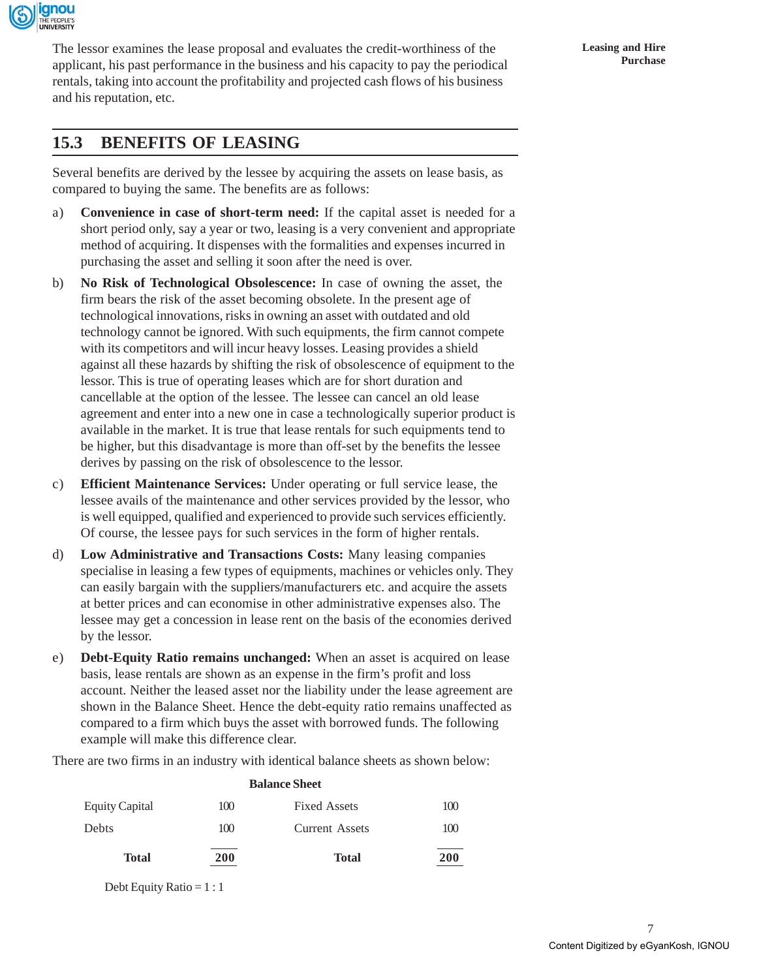

The lessor examines the lease proposal and evaluates the credit-worthiness of the applicant, his past performance in the business and his capacity to pay the periodical rentals, taking into account the profitability and projected cash flows of his business and his reputation, etc.

Several benefits are derived by the lessee by acquiring the assets on lease basis, as compared to buying the same. The benefits are as follows:

- a) **Convenience in case of short-term need:** If the capital asset is needed for a short period only, say a year or two, leasing is a very convenient and appropriate method of acquiring. It dispenses with the formalities and expenses incurred in purchasing the asset and selling it soon after the need is over.
- b) **No Risk of Technological Obsolescence:** In case of owning the asset, the firm bears the risk of the asset becoming obsolete. In the present age of technological innovations, risks in owning an asset with outdated and old technology cannot be ignored. With such equipments, the firm cannot compete with its competitors and will incur heavy losses. Leasing provides a shield against all these hazards by shifting the risk of obsolescence of equipment to the lessor. This is true of operating leases which are for short duration and cancellable at the option of the lessee. The lessee can cancel an old lease agreement and enter into a new one in case a technologically superior product is available in the market. It is true that lease rentals for such equipments tend to be higher, but this disadvantage is more than off-set by the benefits the lessee derives by passing on the risk of obsolescence to the lessor.
- c) **Efficient Maintenance Services:** Under operating or full service lease, the lessee avails of the maintenance and other services provided by the lessor, who is well equipped, qualified and experienced to provide such services efficiently. Of course, the lessee pays for such services in the form of higher rentals.
- d) **Low Administrative and Transactions Costs:** Many leasing companies specialise in leasing a few types of equipments, machines or vehicles only. They can easily bargain with the suppliers/manufacturers etc. and acquire the assets at better prices and can economise in other administrative expenses also. The lessee may get a concession in lease rent on the basis of the economies derived by the lessor.
- e) **Debt-Equity Ratio remains unchanged:** When an asset is acquired on lease basis, lease rentals are shown as an expense in the firm's profit and loss account. Neither the leased asset nor the liability under the lease agreement are shown in the Balance Sheet. Hence the debt-equity ratio remains unaffected as compared to a firm which buys the asset with borrowed funds. The following example will make this difference clear.

There are two firms in an industry with identical balance sheets as shown below:

**Balance Sheet**

| <b>Balance Sheet</b>  |     |                       |            |  |  |
|-----------------------|-----|-----------------------|------------|--|--|
| <b>Equity Capital</b> | 100 | <b>Fixed Assets</b>   | 100        |  |  |
| Debts                 | 100 | <b>Current Assets</b> | 100        |  |  |
| Total                 | 200 | <b>Total</b>          | <b>200</b> |  |  |

Debt Equity Ratio =  $1:1$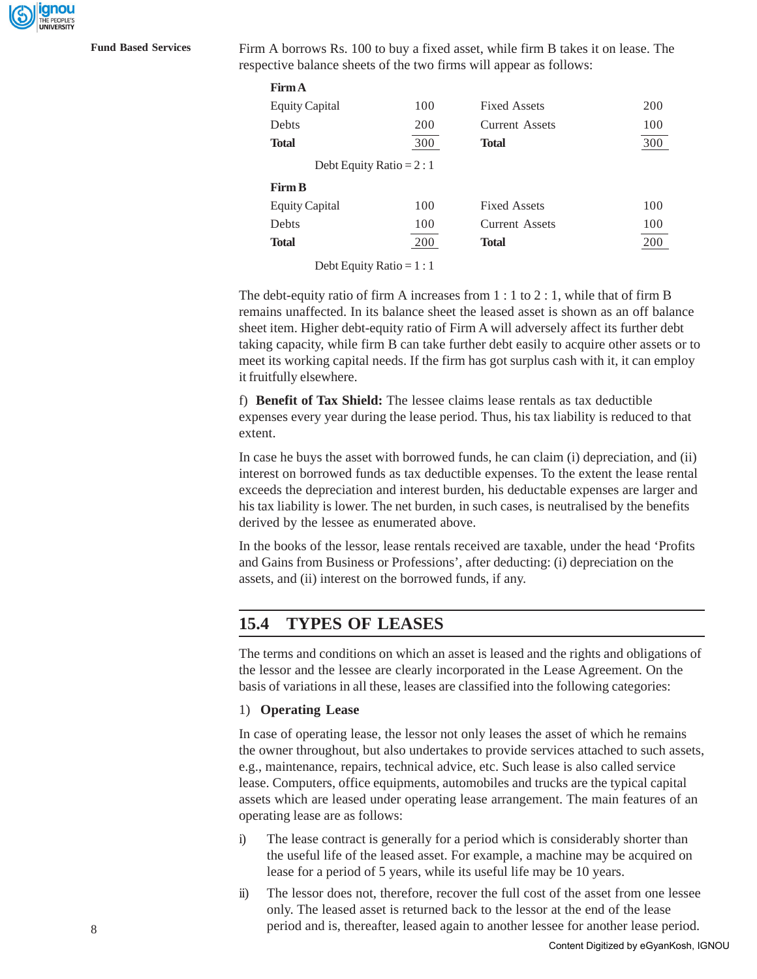anou

**Fund Based Services** Firm A borrows Rs. 100 to buy a fixed asset, while firm B takes it on lease. The respective balance sheets of the two firms will appear as follows:

| <b>Firm A</b>             |     |                       |     |
|---------------------------|-----|-----------------------|-----|
| <b>Equity Capital</b>     | 100 | <b>Fixed Assets</b>   | 200 |
| Debts<br>200              |     | <b>Current Assets</b> | 100 |
| <b>Total</b>              | 300 | <b>Total</b>          | 300 |
| Debt Equity Ratio = $2:1$ |     |                       |     |
| <b>Firm B</b>             |     |                       |     |
| <b>Equity Capital</b>     | 100 | <b>Fixed Assets</b>   | 100 |
| Debts                     | 100 | <b>Current Assets</b> | 100 |
| <b>Total</b>              | 200 | <b>Total</b>          | 200 |
|                           |     |                       |     |

Debt Equity Ratio =  $1:1$ 

The debt-equity ratio of firm A increases from 1 : 1 to 2 : 1, while that of firm B remains unaffected. In its balance sheet the leased asset is shown as an off balance sheet item. Higher debt-equity ratio of Firm A will adversely affect its further debt taking capacity, while firm B can take further debt easily to acquire other assets or to meet its working capital needs. If the firm has got surplus cash with it, it can employ it fruitfully elsewhere.

f) **Benefit of Tax Shield:** The lessee claims lease rentals as tax deductible expenses every year during the lease period. Thus, his tax liability is reduced to that extent.

In case he buys the asset with borrowed funds, he can claim (i) depreciation, and (ii) interest on borrowed funds as tax deductible expenses. To the extent the lease rental exceeds the depreciation and interest burden, his deductable expenses are larger and his tax liability is lower. The net burden, in such cases, is neutralised by the benefits derived by the lessee as enumerated above.

In the books of the lessor, lease rentals received are taxable, under the head 'Profits and Gains from Business or Professions', after deducting: (i) depreciation on the assets, and (ii) interest on the borrowed funds, if any.

### **15.4 TYPES OF LEASES**

The terms and conditions on which an asset is leased and the rights and obligations of the lessor and the lessee are clearly incorporated in the Lease Agreement. On the basis of variations in all these, leases are classified into the following categories:

#### 1) **Operating Lease**

In case of operating lease, the lessor not only leases the asset of which he remains the owner throughout, but also undertakes to provide services attached to such assets, e.g., maintenance, repairs, technical advice, etc. Such lease is also called service lease. Computers, office equipments, automobiles and trucks are the typical capital assets which are leased under operating lease arrangement. The main features of an operating lease are as follows:

- i) The lease contract is generally for a period which is considerably shorter than the useful life of the leased asset. For example, a machine may be acquired on lease for a period of 5 years, while its useful life may be 10 years.
- ii) The lessor does not, therefore, recover the full cost of the asset from one lessee only. The leased asset is returned back to the lessor at the end of the lease period and is, thereafter, leased again to another lessee for another lease period.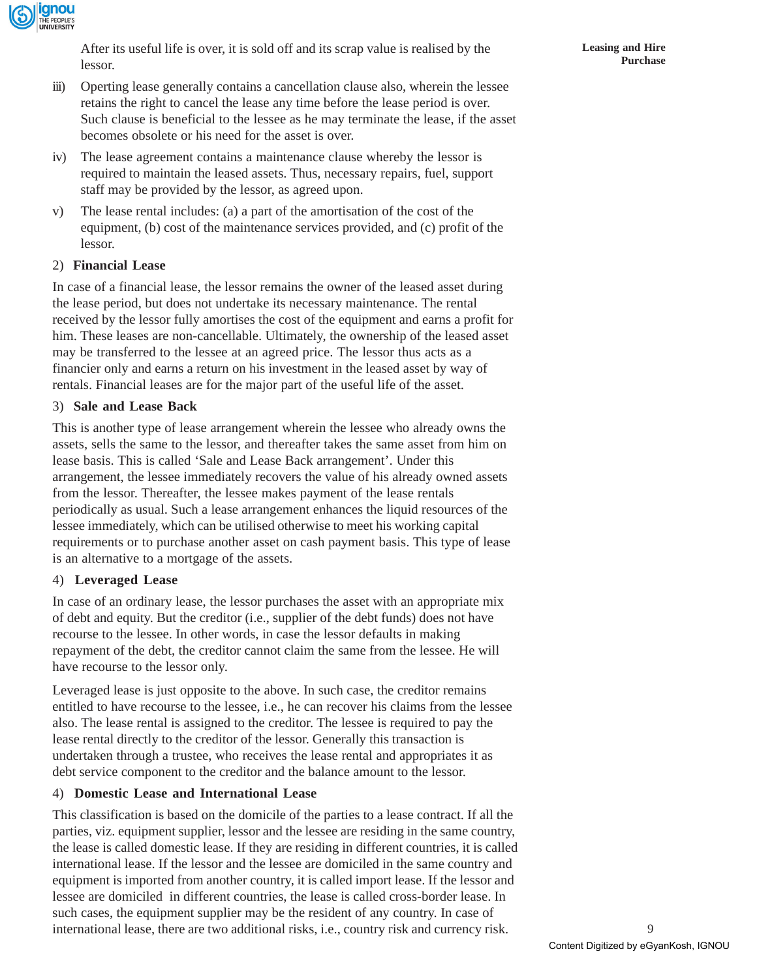

After its useful life is over, it is sold off and its scrap value is realised by the lessor.

- iii) Operting lease generally contains a cancellation clause also, wherein the lessee retains the right to cancel the lease any time before the lease period is over. Such clause is beneficial to the lessee as he may terminate the lease, if the asset becomes obsolete or his need for the asset is over.
- iv) The lease agreement contains a maintenance clause whereby the lessor is required to maintain the leased assets. Thus, necessary repairs, fuel, support staff may be provided by the lessor, as agreed upon.
- v) The lease rental includes: (a) a part of the amortisation of the cost of the equipment, (b) cost of the maintenance services provided, and (c) profit of the lessor.

#### 2) **Financial Lease**

In case of a financial lease, the lessor remains the owner of the leased asset during the lease period, but does not undertake its necessary maintenance. The rental received by the lessor fully amortises the cost of the equipment and earns a profit for him. These leases are non-cancellable. Ultimately, the ownership of the leased asset may be transferred to the lessee at an agreed price. The lessor thus acts as a financier only and earns a return on his investment in the leased asset by way of rentals. Financial leases are for the major part of the useful life of the asset.

#### 3) **Sale and Lease Back**

This is another type of lease arrangement wherein the lessee who already owns the assets, sells the same to the lessor, and thereafter takes the same asset from him on lease basis. This is called 'Sale and Lease Back arrangement'. Under this arrangement, the lessee immediately recovers the value of his already owned assets from the lessor. Thereafter, the lessee makes payment of the lease rentals periodically as usual. Such a lease arrangement enhances the liquid resources of the lessee immediately, which can be utilised otherwise to meet his working capital requirements or to purchase another asset on cash payment basis. This type of lease is an alternative to a mortgage of the assets.

#### 4) **Leveraged Lease**

In case of an ordinary lease, the lessor purchases the asset with an appropriate mix of debt and equity. But the creditor (i.e., supplier of the debt funds) does not have recourse to the lessee. In other words, in case the lessor defaults in making repayment of the debt, the creditor cannot claim the same from the lessee. He will have recourse to the lessor only.

Leveraged lease is just opposite to the above. In such case, the creditor remains entitled to have recourse to the lessee, i.e., he can recover his claims from the lessee also. The lease rental is assigned to the creditor. The lessee is required to pay the lease rental directly to the creditor of the lessor. Generally this transaction is undertaken through a trustee, who receives the lease rental and appropriates it as debt service component to the creditor and the balance amount to the lessor.

#### 4) **Domestic Lease and International Lease**

This classification is based on the domicile of the parties to a lease contract. If all the parties, viz. equipment supplier, lessor and the lessee are residing in the same country, the lease is called domestic lease. If they are residing in different countries, it is called international lease. If the lessor and the lessee are domiciled in the same country and equipment is imported from another country, it is called import lease. If the lessor and lessee are domiciled in different countries, the lease is called cross-border lease. In such cases, the equipment supplier may be the resident of any country. In case of international lease, there are two additional risks, i.e., country risk and currency risk.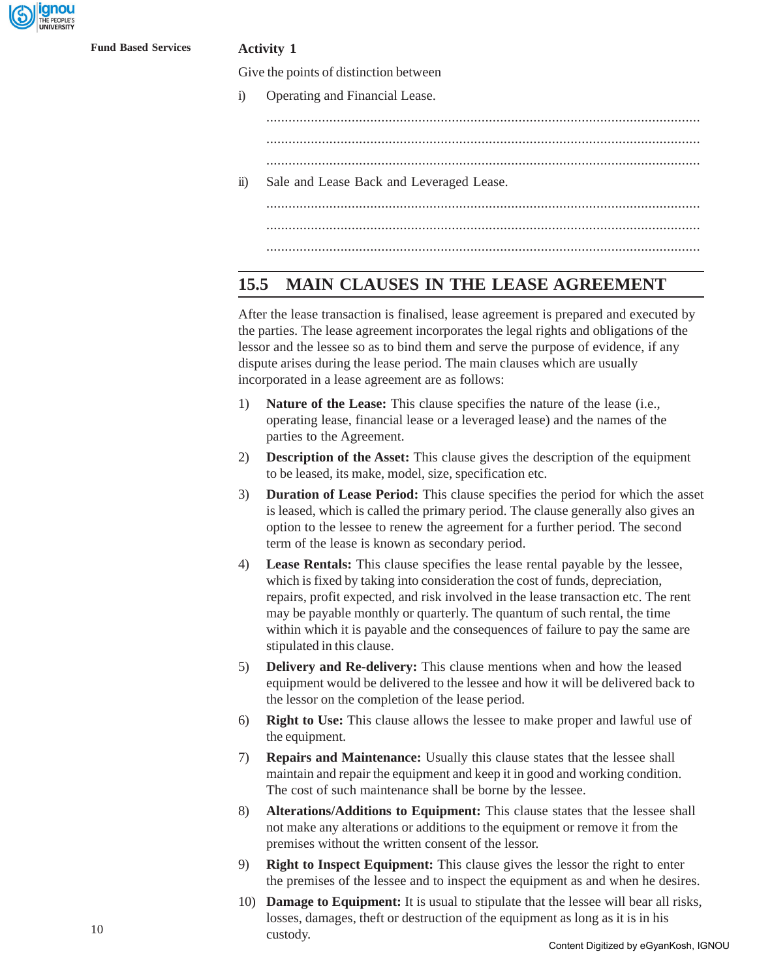

Give the points of distinction between

i) Operating and Financial Lease.

..................................................................................................................... .....................................................................................................................

.....................................................................................................................

ii) Sale and Lease Back and Leveraged Lease.

..................................................................................................................... ..................................................................................................................... .....................................................................................................................

### **15.5 MAIN CLAUSES IN THE LEASE AGREEMENT**

After the lease transaction is finalised, lease agreement is prepared and executed by the parties. The lease agreement incorporates the legal rights and obligations of the lessor and the lessee so as to bind them and serve the purpose of evidence, if any dispute arises during the lease period. The main clauses which are usually incorporated in a lease agreement are as follows:

- 1) **Nature of the Lease:** This clause specifies the nature of the lease (i.e., operating lease, financial lease or a leveraged lease) and the names of the parties to the Agreement.
- 2) **Description of the Asset:** This clause gives the description of the equipment to be leased, its make, model, size, specification etc.
- 3) **Duration of Lease Period:** This clause specifies the period for which the asset is leased, which is called the primary period. The clause generally also gives an option to the lessee to renew the agreement for a further period. The second term of the lease is known as secondary period.
- 4) **Lease Rentals:** This clause specifies the lease rental payable by the lessee, which is fixed by taking into consideration the cost of funds, depreciation, repairs, profit expected, and risk involved in the lease transaction etc. The rent may be payable monthly or quarterly. The quantum of such rental, the time within which it is payable and the consequences of failure to pay the same are stipulated in this clause.
- 5) **Delivery and Re-delivery:** This clause mentions when and how the leased equipment would be delivered to the lessee and how it will be delivered back to the lessor on the completion of the lease period.
- 6) **Right to Use:** This clause allows the lessee to make proper and lawful use of the equipment.
- 7) **Repairs and Maintenance:** Usually this clause states that the lessee shall maintain and repair the equipment and keep it in good and working condition. The cost of such maintenance shall be borne by the lessee.
- 8) **Alterations/Additions to Equipment:** This clause states that the lessee shall not make any alterations or additions to the equipment or remove it from the premises without the written consent of the lessor.
- 9) **Right to Inspect Equipment:** This clause gives the lessor the right to enter the premises of the lessee and to inspect the equipment as and when he desires.
- 10) **Damage to Equipment:** It is usual to stipulate that the lessee will bear all risks, losses, damages, theft or destruction of the equipment as long as it is in his custody.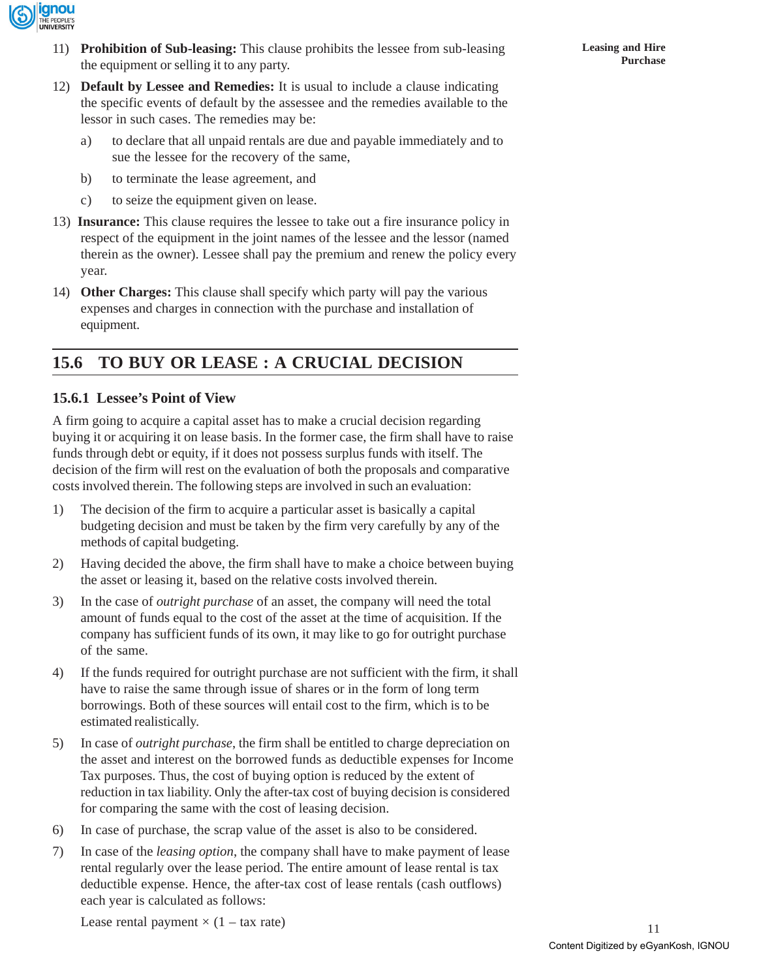

- 11) **Prohibition of Sub-leasing:** This clause prohibits the lessee from sub-leasing the equipment or selling it to any party.
- 12) **Default by Lessee and Remedies:** It is usual to include a clause indicating the specific events of default by the assessee and the remedies available to the lessor in such cases. The remedies may be:
	- a) to declare that all unpaid rentals are due and payable immediately and to sue the lessee for the recovery of the same,
	- b) to terminate the lease agreement, and
	- c) to seize the equipment given on lease.
- 13) **Insurance:** This clause requires the lessee to take out a fire insurance policy in respect of the equipment in the joint names of the lessee and the lessor (named therein as the owner). Lessee shall pay the premium and renew the policy every year.
- 14) **Other Charges:** This clause shall specify which party will pay the various expenses and charges in connection with the purchase and installation of equipment.

## **15.6 TO BUY OR LEASE : A CRUCIAL DECISION**

### **15.6.1 Lessee's Point of View**

A firm going to acquire a capital asset has to make a crucial decision regarding buying it or acquiring it on lease basis. In the former case, the firm shall have to raise funds through debt or equity, if it does not possess surplus funds with itself. The decision of the firm will rest on the evaluation of both the proposals and comparative costs involved therein. The following steps are involved in such an evaluation:

- 1) The decision of the firm to acquire a particular asset is basically a capital budgeting decision and must be taken by the firm very carefully by any of the methods of capital budgeting.
- 2) Having decided the above, the firm shall have to make a choice between buying the asset or leasing it, based on the relative costs involved therein.
- 3) In the case of *outright purchase* of an asset, the company will need the total amount of funds equal to the cost of the asset at the time of acquisition. If the company has sufficient funds of its own, it may like to go for outright purchase of the same.
- 4) If the funds required for outright purchase are not sufficient with the firm, it shall have to raise the same through issue of shares or in the form of long term borrowings. Both of these sources will entail cost to the firm, which is to be estimated realistically.
- 5) In case of *outright purchase*, the firm shall be entitled to charge depreciation on the asset and interest on the borrowed funds as deductible expenses for Income Tax purposes. Thus, the cost of buying option is reduced by the extent of reduction in tax liability. Only the after-tax cost of buying decision is considered for comparing the same with the cost of leasing decision.
- 6) In case of purchase, the scrap value of the asset is also to be considered.
- 7) In case of the *leasing option*, the company shall have to make payment of lease rental regularly over the lease period. The entire amount of lease rental is tax deductible expense. Hence, the after-tax cost of lease rentals (cash outflows) each year is calculated as follows:

Lease rental payment  $\times$  (1 – tax rate)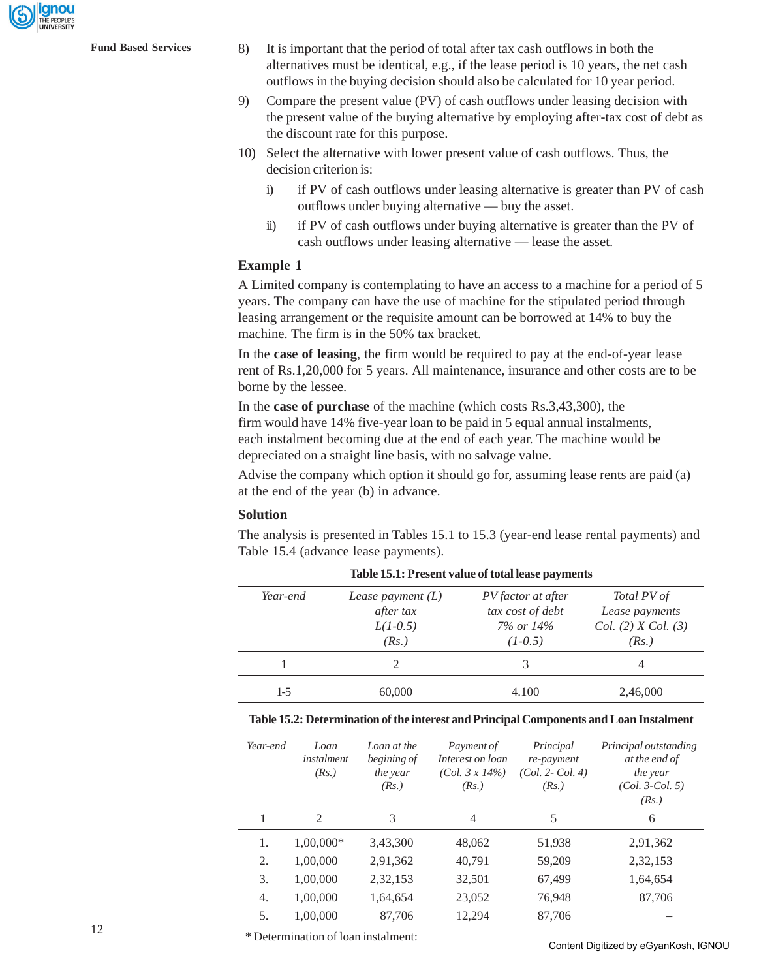anou

- **Fund Based Services** 8) It is important that the period of total after tax cash outflows in both the alternatives must be identical, e.g., if the lease period is 10 years, the net cash outflows in the buying decision should also be calculated for 10 year period.
	- 9) Compare the present value (PV) of cash outflows under leasing decision with the present value of the buying alternative by employing after-tax cost of debt as the discount rate for this purpose.
	- 10) Select the alternative with lower present value of cash outflows. Thus, the decision criterion is:
		- i) if PV of cash outflows under leasing alternative is greater than PV of cash outflows under buying alternative — buy the asset.
		- ii) if PV of cash outflows under buying alternative is greater than the PV of cash outflows under leasing alternative — lease the asset.

#### **Example 1**

A Limited company is contemplating to have an access to a machine for a period of 5 years. The company can have the use of machine for the stipulated period through leasing arrangement or the requisite amount can be borrowed at 14% to buy the machine. The firm is in the 50% tax bracket.

In the **case of leasing**, the firm would be required to pay at the end-of-year lease rent of Rs.1,20,000 for 5 years. All maintenance, insurance and other costs are to be borne by the lessee.

In the **case of purchase** of the machine (which costs Rs.3,43,300), the firm would have 14% five-year loan to be paid in 5 equal annual instalments, each instalment becoming due at the end of each year. The machine would be depreciated on a straight line basis, with no salvage value.

Advise the company which option it should go for, assuming lease rents are paid (a) at the end of the year (b) in advance.

#### **Solution**

The analysis is presented in Tables 15.1 to 15.3 (year-end lease rental payments) and Table 15.4 (advance lease payments).

| Table 15.1: Present value of total lease payments |                                                         |                                                                        |                                                               |  |  |
|---------------------------------------------------|---------------------------------------------------------|------------------------------------------------------------------------|---------------------------------------------------------------|--|--|
| Year-end                                          | Lease payment $(L)$<br>after tax<br>$L(1-0.5)$<br>(Rs.) | PV factor at after<br>tax cost of debt<br>$7\%$ or $14\%$<br>$(1-0.5)$ | Total PV of<br>Lease payments<br>Col. (2) X Col. (3)<br>(Rs.) |  |  |
|                                                   |                                                         | 3                                                                      | 4                                                             |  |  |
| $1-5$                                             | 60,000                                                  | 4.100                                                                  | 2,46,000                                                      |  |  |

**Table 15.1: Present value of total lease payments**

| Year-end | Loan<br>instalment<br>(Rs.) | Loan at the<br>begining of<br>the year<br>(Rs.) | Payment of<br>Interest on loan<br>$(Col. 3 x 14\%)$<br>(Rs.) | Principal<br>re-payment<br>$(Col. 2 - Col. 4)$<br>(Rs.) | Principal outstanding<br>at the end of<br>the year<br>$(Col. 3-Col. 5)$<br>(Rs.) |
|----------|-----------------------------|-------------------------------------------------|--------------------------------------------------------------|---------------------------------------------------------|----------------------------------------------------------------------------------|
|          | 2                           | 3                                               | $\overline{4}$                                               | 5                                                       | 6                                                                                |
| 1.       | 1,00,000*                   | 3,43,300                                        | 48,062                                                       | 51,938                                                  | 2,91,362                                                                         |
| 2.       | 1,00,000                    | 2,91,362                                        | 40,791                                                       | 59,209                                                  | 2,32,153                                                                         |
| 3.       | 1,00,000                    | 2,32,153                                        | 32,501                                                       | 67,499                                                  | 1,64,654                                                                         |
| 4.       | 1,00,000                    | 1,64,654                                        | 23,052                                                       | 76,948                                                  | 87,706                                                                           |
| 5.       | 1,00,000                    | 87,706                                          | 12.294                                                       | 87,706                                                  |                                                                                  |

\* Determination of loan instalment:

Content Digitized by eGyanKosh, IGNOU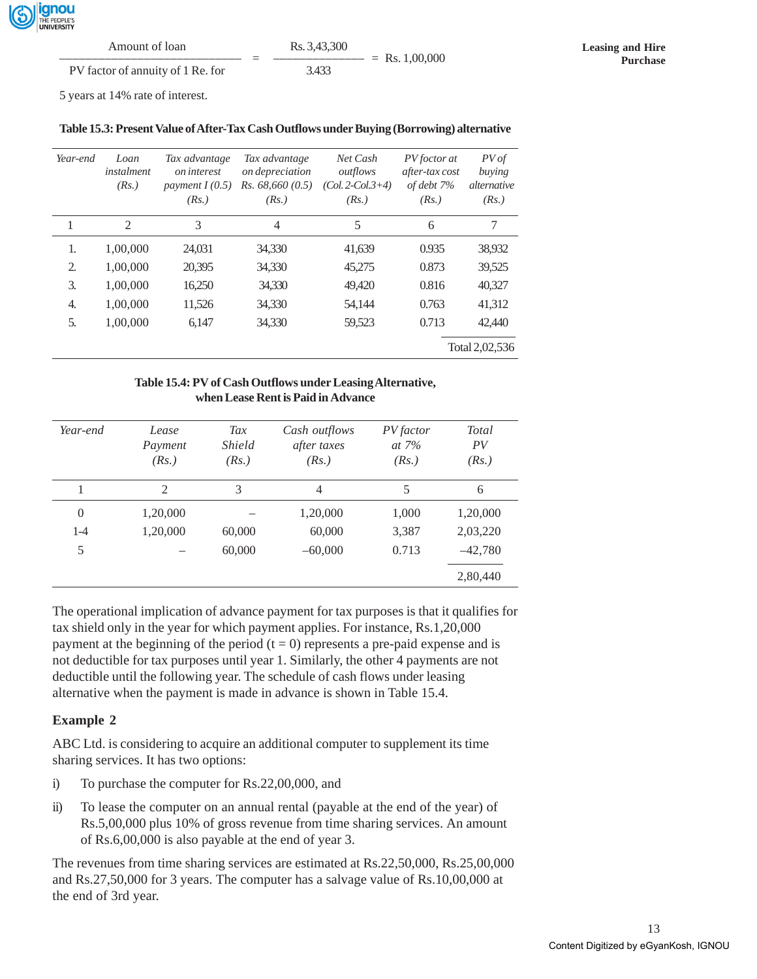

| Amount of loan                    |   | Rs. 3.43.300     |  |
|-----------------------------------|---|------------------|--|
|                                   | - | $=$ Rs. 1.00.000 |  |
| PV factor of annuity of 1 Re. for |   | 3.433            |  |

5 years at 14% rate of interest.

| Table 15.3: Present Value of After-Tax Cash Outflows under Buying (Borrowing) alternative |  |  |
|-------------------------------------------------------------------------------------------|--|--|
|                                                                                           |  |  |

| Year-end | Loan<br>instalment<br>(Rs.) | Tax advantage<br><i>on interest</i><br>payment $I(0.5)$<br>(Rs.) | Tax advantage<br>on depreciation<br>Rs. 68,660(0.5)<br>(Rs.) | Net Cash<br>outflows<br>$(Col. 2-Col. 3+4)$<br>(Rs.) | PV foctor at<br>after-tax cost<br>of debt 7%<br>(Rs.) | PV of<br>buying<br><i>alternative</i><br>(Rs.) |
|----------|-----------------------------|------------------------------------------------------------------|--------------------------------------------------------------|------------------------------------------------------|-------------------------------------------------------|------------------------------------------------|
| 1        | 2                           | 3                                                                | 4                                                            | 5                                                    | 6                                                     | 7                                              |
| 1.       | 1,00,000                    | 24,031                                                           | 34,330                                                       | 41,639                                               | 0.935                                                 | 38,932                                         |
| 2.       | 1,00,000                    | 20,395                                                           | 34,330                                                       | 45,275                                               | 0.873                                                 | 39,525                                         |
| 3.       | 1,00,000                    | 16,250                                                           | 34,330                                                       | 49,420                                               | 0.816                                                 | 40,327                                         |
| 4.       | 1,00,000                    | 11,526                                                           | 34,330                                                       | 54,144                                               | 0.763                                                 | 41,312                                         |
| .5.      | 1,00,000                    | 6,147                                                            | 34,330                                                       | 59,523                                               | 0.713                                                 | 42,440                                         |
|          |                             |                                                                  |                                                              |                                                      |                                                       | Total 2,02,536                                 |

#### **Table 15.4: PV of Cash Outflows under Leasing Alternative, when Lease Rent is Paid in Advance**

| Year-end | Lease<br>Payment<br>(Rs.) | Tax<br><i>Shield</i><br>(Rs.) | Cash outflows<br>after taxes<br>(Rs.) | PV factor<br>at $7%$<br>(Rs.) | Total<br>PV<br>(Rs.) |
|----------|---------------------------|-------------------------------|---------------------------------------|-------------------------------|----------------------|
|          | 2                         | 3                             | $\overline{4}$                        | 5                             | 6                    |
| $\theta$ | 1,20,000                  |                               | 1,20,000                              | 1,000                         | 1,20,000             |
| $1 - 4$  | 1,20,000                  | 60,000                        | 60,000                                | 3,387                         | 2,03,220             |
| 5        |                           | 60,000                        | $-60,000$                             | 0.713                         | $-42,780$            |
|          |                           |                               |                                       |                               | 2,80,440             |

The operational implication of advance payment for tax purposes is that it qualifies for tax shield only in the year for which payment applies. For instance, Rs.1,20,000 payment at the beginning of the period  $(t = 0)$  represents a pre-paid expense and is not deductible for tax purposes until year 1. Similarly, the other 4 payments are not deductible until the following year. The schedule of cash flows under leasing alternative when the payment is made in advance is shown in Table 15.4.

#### **Example 2**

ABC Ltd. is considering to acquire an additional computer to supplement its time sharing services. It has two options:

- i) To purchase the computer for Rs.22,00,000, and
- ii) To lease the computer on an annual rental (payable at the end of the year) of Rs.5,00,000 plus 10% of gross revenue from time sharing services. An amount of Rs.6,00,000 is also payable at the end of year 3.

The revenues from time sharing services are estimated at Rs.22,50,000, Rs.25,00,000 and Rs.27,50,000 for 3 years. The computer has a salvage value of Rs.10,00,000 at the end of 3rd year.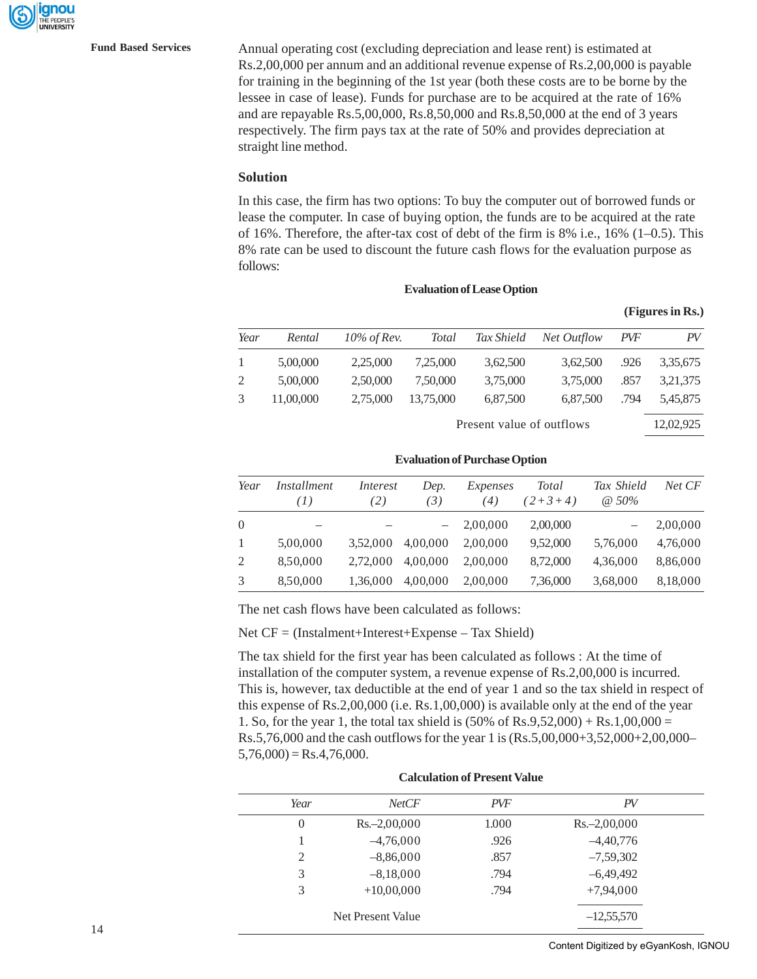**Fund Based Services** Annual operating cost (excluding depreciation and lease rent) is estimated at Rs.2,00,000 per annum and an additional revenue expense of Rs.2,00,000 is payable for training in the beginning of the 1st year (both these costs are to be borne by the lessee in case of lease). Funds for purchase are to be acquired at the rate of 16% and are repayable Rs.5,00,000, Rs.8,50,000 and Rs.8,50,000 at the end of 3 years respectively. The firm pays tax at the rate of 50% and provides depreciation at straight line method.

#### **Solution**

In this case, the firm has two options: To buy the computer out of borrowed funds or lease the computer. In case of buying option, the funds are to be acquired at the rate of 16%. Therefore, the after-tax cost of debt of the firm is  $8\%$  i.e.,  $16\%$  (1–0.5). This 8% rate can be used to discount the future cash flows for the evaluation purpose as follows:

**Evaluation of Lease Option**

| Year         | Rental    | $10\%$ of Rev. | <b>Total</b> | Tax Shield | Net Outflow | <i>PVF</i> | PV       |
|--------------|-----------|----------------|--------------|------------|-------------|------------|----------|
| $\mathbf{1}$ | 5,00,000  | 2,25,000       | 7,25,000     | 3,62,500   | 3,62,500    | .926       | 3,35,675 |
| 2            | 5,00,000  | 2,50,000       | 7.50,000     | 3,75,000   | 3,75,000    | .857       | 3,21,375 |
| 3            | 11,00,000 | 2,75,000       | 13.75,000    | 6,87,500   | 6,87,500    | .794       | 5,45,875 |
|              |           |                |              |            |             |            |          |

Present value of outflows 12,02,925

|  | $\sim$ 01 000110110 |  |
|--|---------------------|--|
|  | _                   |  |
|  |                     |  |
|  |                     |  |
|  |                     |  |

**(Figures in Rs.)**

| Year         | <i>Installment</i><br>(1) | Interest<br>(2) | Dep.<br>$\left(3\right)$ | Expenses<br>(4) | Total<br>$(2+3+4)$ | Tax Shield<br>$\omega$ 50% | Net CF   |
|--------------|---------------------------|-----------------|--------------------------|-----------------|--------------------|----------------------------|----------|
| $\Omega$     |                           |                 |                          | 2,00,000        | 2,00,000           |                            | 2,00,000 |
| $\mathbf{1}$ | 5,00,000                  | 3.52,000        | 4.00.000                 | 2.00.000        | 9,52,000           | 5,76,000                   | 4,76,000 |
| 2            | 8.50.000                  | 2.72,000        | 4.00.000                 | 2.00.000        | 8,72,000           | 4,36,000                   | 8,86,000 |
| 3            | 8,50,000                  | 1,36,000        | 4,00,000                 | 2.00.000        | 7,36,000           | 3,68,000                   | 8,18,000 |

**Evaluation of Purchase Option**

The net cash flows have been calculated as follows:

Net CF = (Instalment+Interest+Expense – Tax Shield)

The tax shield for the first year has been calculated as follows : At the time of installation of the computer system, a revenue expense of Rs.2,00,000 is incurred. This is, however, tax deductible at the end of year 1 and so the tax shield in respect of this expense of Rs.2,00,000 (i.e. Rs.1,00,000) is available only at the end of the year 1. So, for the year 1, the total tax shield is  $(50\% \text{ of Rs}, 9,52,000) + \text{Rs}.1,00,000 =$ Rs.5,76,000 and the cash outflows for the year 1 is (Rs.5,00,000+3,52,000+2,00,000–  $5,76,000$ ) = Rs.4,76,000.

| Year           | NetCF             | <b>PVF</b> | PV              |
|----------------|-------------------|------------|-----------------|
| $\overline{0}$ | $Rs. -2,00,000$   | 1.000      | $Rs. -2,00,000$ |
|                | $-4,76,000$       | .926       | $-4,40,776$     |
| $\overline{2}$ | $-8,86,000$       | .857       | $-7,59,302$     |
| 3              | $-8,18,000$       | .794       | $-6,49,492$     |
| 3              | $+10,00,000$      | .794       | $+7,94,000$     |
|                | Net Present Value |            | $-12,55,570$    |

#### **Calculation of Present Value**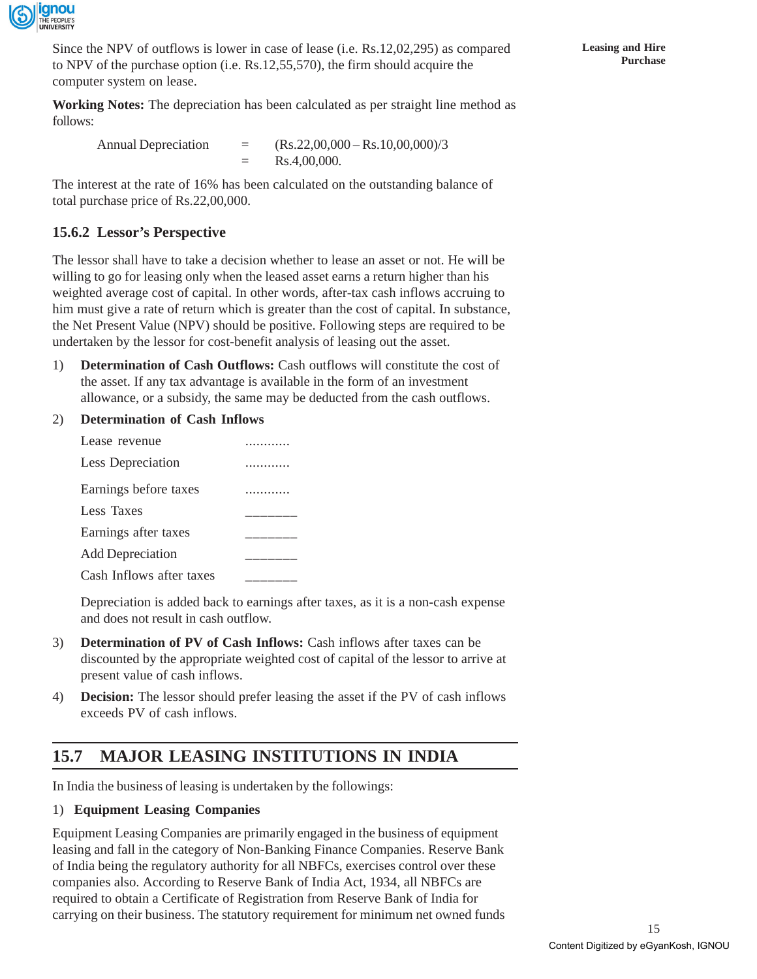

Since the NPV of outflows is lower in case of lease (i.e. Rs.12,02,295) as compared to NPV of the purchase option (i.e. Rs.12,55,570), the firm should acquire the computer system on lease.

**Working Notes:** The depreciation has been calculated as per straight line method as follows:

| <b>Annual Depreciation</b> | $=$ | $(Rs.22,00,000 - Rs.10,00,000)/3$ |
|----------------------------|-----|-----------------------------------|
|                            |     | Rs.4,00,000.                      |

The interest at the rate of 16% has been calculated on the outstanding balance of total purchase price of Rs.22,00,000.

### **15.6.2 Lessor's Perspective**

The lessor shall have to take a decision whether to lease an asset or not. He will be willing to go for leasing only when the leased asset earns a return higher than his weighted average cost of capital. In other words, after-tax cash inflows accruing to him must give a rate of return which is greater than the cost of capital. In substance, the Net Present Value (NPV) should be positive. Following steps are required to be undertaken by the lessor for cost-benefit analysis of leasing out the asset.

- 1) **Determination of Cash Outflows:** Cash outflows will constitute the cost of the asset. If any tax advantage is available in the form of an investment allowance, or a subsidy, the same may be deducted from the cash outflows.
- 2) **Determination of Cash Inflows**

| Lease revenue            |  |
|--------------------------|--|
| Less Depreciation        |  |
| Earnings before taxes    |  |
| Less Taxes               |  |
| Earnings after taxes     |  |
| <b>Add Depreciation</b>  |  |
| Cash Inflows after taxes |  |

Depreciation is added back to earnings after taxes, as it is a non-cash expense and does not result in cash outflow.

- 3) **Determination of PV of Cash Inflows:** Cash inflows after taxes can be discounted by the appropriate weighted cost of capital of the lessor to arrive at present value of cash inflows.
- 4) **Decision:** The lessor should prefer leasing the asset if the PV of cash inflows exceeds PV of cash inflows.

### **15.7 MAJOR LEASING INSTITUTIONS IN INDIA**

In India the business of leasing is undertaken by the followings:

#### 1) **Equipment Leasing Companies**

Equipment Leasing Companies are primarily engaged in the business of equipment leasing and fall in the category of Non-Banking Finance Companies. Reserve Bank of India being the regulatory authority for all NBFCs, exercises control over these companies also. According to Reserve Bank of India Act, 1934, all NBFCs are required to obtain a Certificate of Registration from Reserve Bank of India for carrying on their business. The statutory requirement for minimum net owned funds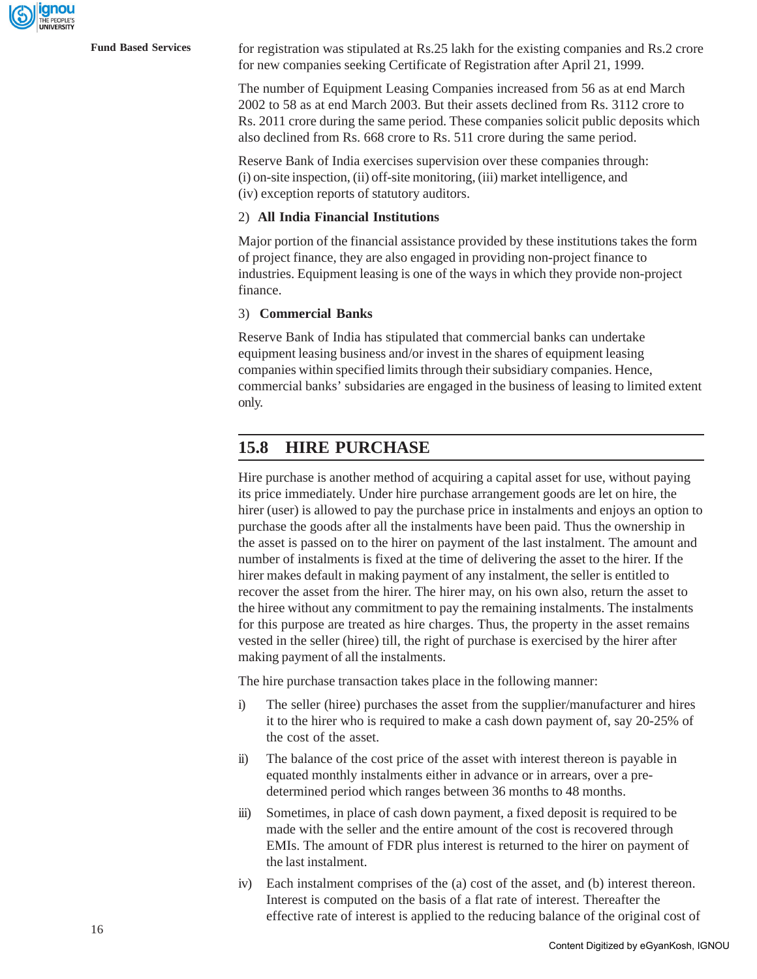

**Fund Based Services** for registration was stipulated at Rs.25 lakh for the existing companies and Rs.2 crore for new companies seeking Certificate of Registration after April 21, 1999.

> The number of Equipment Leasing Companies increased from 56 as at end March 2002 to 58 as at end March 2003. But their assets declined from Rs. 3112 crore to Rs. 2011 crore during the same period. These companies solicit public deposits which also declined from Rs. 668 crore to Rs. 511 crore during the same period.

Reserve Bank of India exercises supervision over these companies through: (i) on-site inspection, (ii) off-site monitoring, (iii) market intelligence, and (iv) exception reports of statutory auditors.

#### 2) **All India Financial Institutions**

Major portion of the financial assistance provided by these institutions takes the form of project finance, they are also engaged in providing non-project finance to industries. Equipment leasing is one of the ways in which they provide non-project finance.

#### 3) **Commercial Banks**

Reserve Bank of India has stipulated that commercial banks can undertake equipment leasing business and/or invest in the shares of equipment leasing companies within specified limits through their subsidiary companies. Hence, commercial banks' subsidaries are engaged in the business of leasing to limited extent only.

### **15.8 HIRE PURCHASE**

Hire purchase is another method of acquiring a capital asset for use, without paying its price immediately. Under hire purchase arrangement goods are let on hire, the hirer (user) is allowed to pay the purchase price in instalments and enjoys an option to purchase the goods after all the instalments have been paid. Thus the ownership in the asset is passed on to the hirer on payment of the last instalment. The amount and number of instalments is fixed at the time of delivering the asset to the hirer. If the hirer makes default in making payment of any instalment, the seller is entitled to recover the asset from the hirer. The hirer may, on his own also, return the asset to the hiree without any commitment to pay the remaining instalments. The instalments for this purpose are treated as hire charges. Thus, the property in the asset remains vested in the seller (hiree) till, the right of purchase is exercised by the hirer after making payment of all the instalments.

The hire purchase transaction takes place in the following manner:

- i) The seller (hiree) purchases the asset from the supplier/manufacturer and hires it to the hirer who is required to make a cash down payment of, say 20-25% of the cost of the asset.
- ii) The balance of the cost price of the asset with interest thereon is payable in equated monthly instalments either in advance or in arrears, over a predetermined period which ranges between 36 months to 48 months.
- iii) Sometimes, in place of cash down payment, a fixed deposit is required to be made with the seller and the entire amount of the cost is recovered through EMIs. The amount of FDR plus interest is returned to the hirer on payment of the last instalment.
- iv) Each instalment comprises of the (a) cost of the asset, and (b) interest thereon. Interest is computed on the basis of a flat rate of interest. Thereafter the effective rate of interest is applied to the reducing balance of the original cost of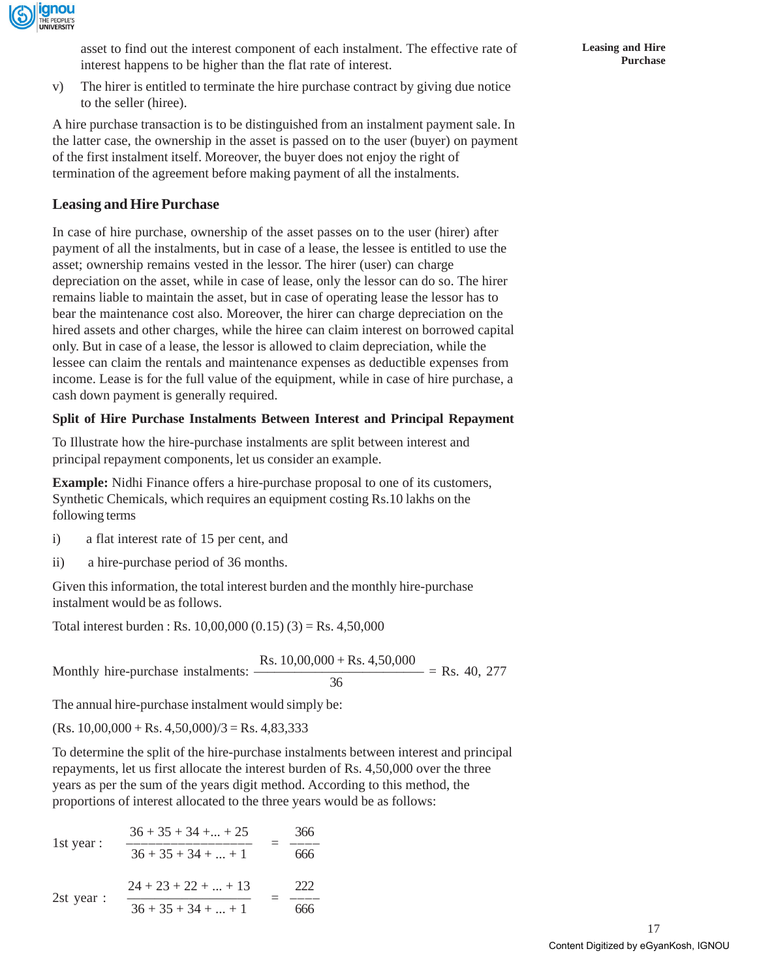

asset to find out the interest component of each instalment. The effective rate of interest happens to be higher than the flat rate of interest.

v) The hirer is entitled to terminate the hire purchase contract by giving due notice to the seller (hiree).

A hire purchase transaction is to be distinguished from an instalment payment sale. In the latter case, the ownership in the asset is passed on to the user (buyer) on payment of the first instalment itself. Moreover, the buyer does not enjoy the right of termination of the agreement before making payment of all the instalments.

### **Leasing and Hire Purchase**

In case of hire purchase, ownership of the asset passes on to the user (hirer) after payment of all the instalments, but in case of a lease, the lessee is entitled to use the asset; ownership remains vested in the lessor. The hirer (user) can charge depreciation on the asset, while in case of lease, only the lessor can do so. The hirer remains liable to maintain the asset, but in case of operating lease the lessor has to bear the maintenance cost also. Moreover, the hirer can charge depreciation on the hired assets and other charges, while the hiree can claim interest on borrowed capital only. But in case of a lease, the lessor is allowed to claim depreciation, while the lessee can claim the rentals and maintenance expenses as deductible expenses from income. Lease is for the full value of the equipment, while in case of hire purchase, a cash down payment is generally required.

#### **Split of Hire Purchase Instalments Between Interest and Principal Repayment**

To Illustrate how the hire-purchase instalments are split between interest and principal repayment components, let us consider an example.

**Example:** Nidhi Finance offers a hire-purchase proposal to one of its customers, Synthetic Chemicals, which requires an equipment costing Rs.10 lakhs on the following terms

- i) a flat interest rate of 15 per cent, and
- ii) a hire-purchase period of 36 months.

Given this information, the total interest burden and the monthly hire-purchase instalment would be as follows.

Total interest burden : Rs.  $10,00,000$   $(0.15)$   $(3)$  = Rs. 4,50,000

Monthly hire-purchase instalments:  $\frac{\text{Rs. }10,00,000 + \text{Rs. }4,50,000}{36}$  = Rs. 40, 277

The annual hire-purchase instalment would simply be:

 $(Rs. 10,00,000 + Rs. 4,50,000)/3 = Rs. 4,83,333$ 

To determine the split of the hire-purchase instalments between interest and principal repayments, let us first allocate the interest burden of Rs. 4,50,000 over the three years as per the sum of the years digit method. According to this method, the proportions of interest allocated to the three years would be as follows:

1st year: 
$$
\frac{36 + 35 + 34 + ... + 25}{36 + 35 + 34 + ... + 1} = \frac{366}{666}
$$
  
2st year: 
$$
\frac{24 + 23 + 22 + ... + 13}{36 + 35 + 34 + ... + 1} = \frac{222}{666}
$$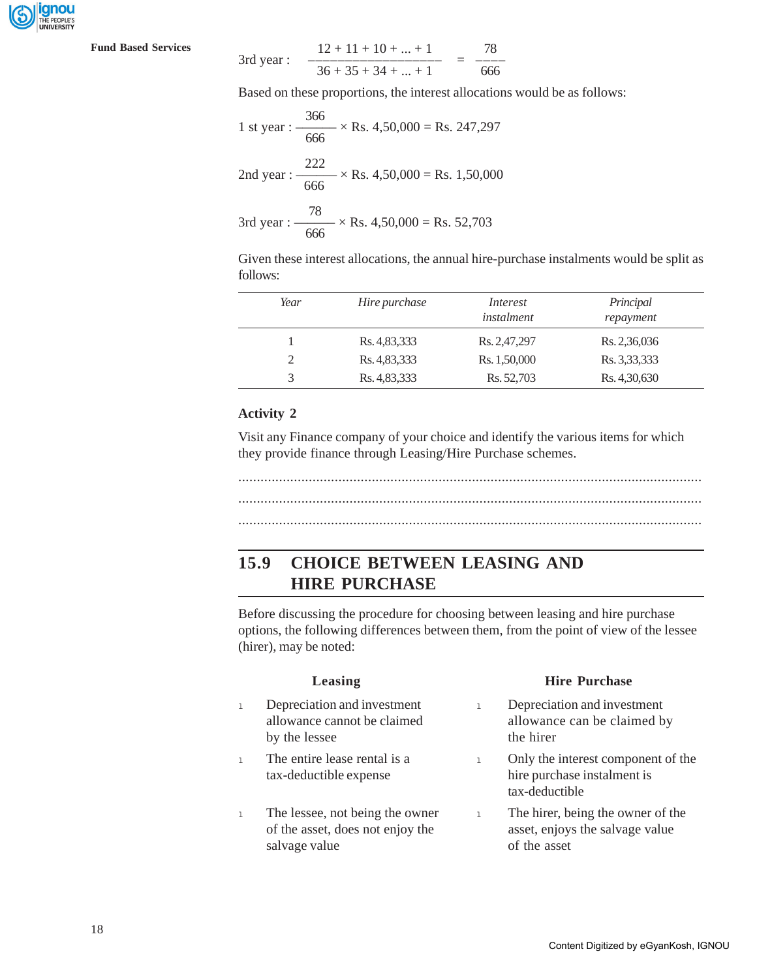

**Fund Based Services** 

3rd year: 
$$
\frac{12 + 11 + 10 + ... + 1}{36 + 35 + 34 + ... + 1} = \frac{78}{666}
$$

Based on these proportions, the interest allocations would be as follows:

1 st year : 
$$
\frac{366}{666} \times
$$
 Rs. 4,50,000 = Rs. 247,297  
2nd year :  $\frac{222}{666} \times$  Rs. 4,50,000 = Rs. 1,50,000  
3rd year :  $\frac{78}{666} \times$  Rs. 4,50,000 = Rs. 52,703

Given these interest allocations, the annual hire-purchase instalments would be split as follows:

| Year | Hire purchase | Interest<br>instalment | Principal<br>repayment |
|------|---------------|------------------------|------------------------|
|      | Rs. 4,83,333  | Rs. 2,47,297           | Rs. 2,36,036           |
| 2    | Rs. 4,83,333  | Rs. 1,50,000           | Rs. 3,33,333           |
| 3    | Rs. 4,83,333  | Rs. 52,703             | Rs. 4,30,630           |

#### **Activity 2**

Visit any Finance company of your choice and identify the various items for which they provide finance through Leasing/Hire Purchase schemes.

.............................................................................................................................

............................................................................................................................. .............................................................................................................................

### **15.9 CHOICE BETWEEN LEASING AND HIRE PURCHASE**

Before discussing the procedure for choosing between leasing and hire purchase options, the following differences between them, from the point of view of the lessee (hirer), may be noted:

| Leasing |                                                                                      |              | <b>Hire Purchase</b>                                                                 |  |
|---------|--------------------------------------------------------------------------------------|--------------|--------------------------------------------------------------------------------------|--|
|         | Depreciation and investment<br>allowance cannot be claimed<br>by the lessee          | $\mathbb{L}$ | Depreciation and investment<br>allowance can be claimed by<br>the hirer              |  |
| l.      | The entire lease rental is a<br>tax-deductible expense                               | $\mathbf{1}$ | Only the interest component of the<br>hire purchase instalment is<br>tax-deductible  |  |
|         | The lessee, not being the owner<br>of the asset, does not enjoy the<br>salvage value | $\mathbb{L}$ | The hirer, being the owner of the<br>asset, enjoys the salvage value<br>of the asset |  |
|         |                                                                                      |              |                                                                                      |  |